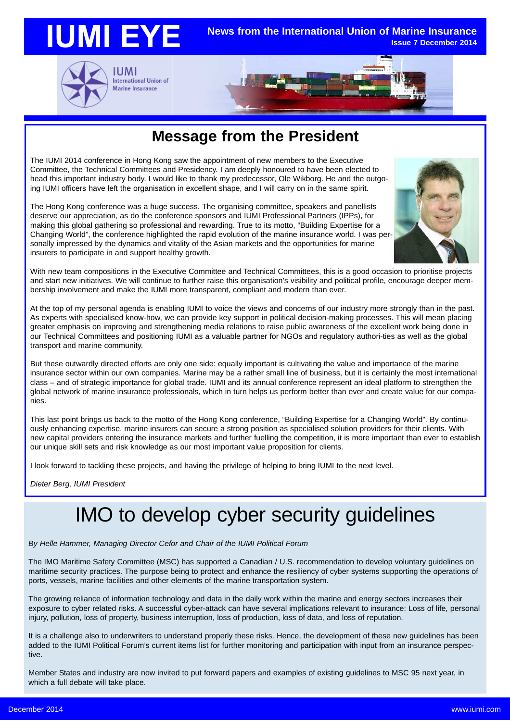

### **Message from the President**

The IUMI 2014 conference in Hong Kong saw the appointment of new members to the Executive Committee, the Technical Committees and Presidency. I am deeply honoured to have been elected to head this important industry body. I would like to thank my predecessor, Ole Wikborg. He and the outgoing IUMI officers have left the organisation in excellent shape, and I will carry on in the same spirit.

The Hong Kong conference was a huge success. The organising committee, speakers and panellists deserve our appreciation, as do the conference sponsors and IUMI Professional Partners (IPPs), for making this global gathering so professional and rewarding. True to its motto, "Building Expertise for a Changing World", the conference highlighted the rapid evolution of the marine insurance world. I was personally impressed by the dynamics and vitality of the Asian markets and the opportunities for marine insurers to participate in and support healthy growth.



With new team compositions in the Executive Committee and Technical Committees, this is a good occasion to prioritise projects and start new initiatives. We will continue to further raise this organisation's visibility and political profile, encourage deeper membership involvement and make the IUMI more transparent, compliant and modern than ever.

At the top of my personal agenda is enabling IUMI to voice the views and concerns of our industry more strongly than in the past. As experts with specialised know-how, we can provide key support in political decision-making processes. This will mean placing greater emphasis on improving and strengthening media relations to raise public awareness of the excellent work being done in our Technical Committees and positioning IUMI as a valuable partner for NGOs and regulatory authori-ties as well as the global transport and marine community.

But these outwardly directed efforts are only one side: equally important is cultivating the value and importance of the marine insurance sector within our own companies. Marine may be a rather small line of business, but it is certainly the most international class – and of strategic importance for global trade. IUMI and its annual conference represent an ideal platform to strengthen the global network of marine insurance professionals, which in turn helps us perform better than ever and create value for our companies.

This last point brings us back to the motto of the Hong Kong conference, "Building Expertise for a Changing World". By continuously enhancing expertise, marine insurers can secure a strong position as specialised solution providers for their clients. With new capital providers entering the insurance markets and further fuelling the competition, it is more important than ever to establish our unique skill sets and risk knowledge as our most important value proposition for clients.

I look forward to tackling these projects, and having the privilege of helping to bring IUMI to the next level.

*Dieter Berg, IUMI President*

## IMO to develop cyber security guidelines

*By Helle Hammer, Managing Director Cefor and Chair of the IUMI Political Forum*

The IMO Maritime Safety Committee (MSC) has supported a Canadian / U.S. recommendation to develop voluntary guidelines on maritime security practices. The purpose being to protect and enhance the resiliency of cyber systems supporting the operations of ports, vessels, marine facilities and other elements of the marine transportation system.

The growing reliance of information technology and data in the daily work within the marine and energy sectors increases their exposure to cyber related risks. A successful cyber-attack can have several implications relevant to insurance: Loss of life, personal injury, pollution, loss of property, business interruption, loss of production, loss of data, and loss of reputation.

It is a challenge also to underwriters to understand properly these risks. Hence, the development of these new guidelines has been added to the IUMI Political Forum's current items list for further monitoring and participation with input from an insurance perspective.

Member States and industry are now invited to put forward papers and examples of existing guidelines to MSC 95 next year, in which a full debate will take place.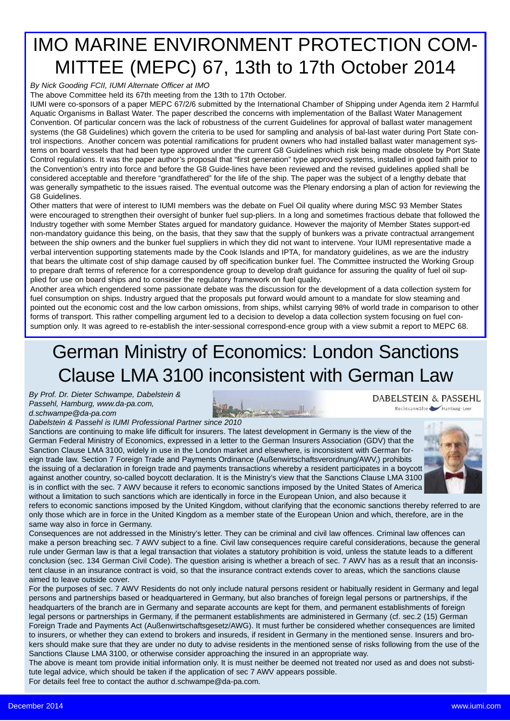## IMO MARINE ENVIRONMENT PROTECTION COM-MITTEE (MEPC) 67, 13th to 17th October 2014

*By Nick Gooding FCII, IUMI Alternate Officer at IMO*

The above Committee held its 67th meeting from the 13th to 17th October.

IUMI were co-sponsors of a paper MEPC 67/2/6 submitted by the International Chamber of Shipping under Agenda item 2 Harmful Aquatic Organisms in Ballast Water. The paper described the concerns with implementation of the Ballast Water Management Convention. Of particular concern was the lack of robustness of the current Guidelines for approval of ballast water management systems (the G8 Guidelines) which govern the criteria to be used for sampling and analysis of bal-last water during Port State control inspections. Another concern was potential ramifications for prudent owners who had installed ballast water management systems on board vessels that had been type approved under the current G8 Guidelines which risk being made obsolete by Port State Control regulations. It was the paper author's proposal that "first generation" type approved systems, installed in good faith prior to the Convention's entry into force and before the G8 Guide-lines have been reviewed and the revised guidelines applied shall be considered acceptable and therefore "grandfathered" for the life of the ship. The paper was the subject of a lengthy debate that was generally sympathetic to the issues raised. The eventual outcome was the Plenary endorsing a plan of action for reviewing the G8 Guidelines.

Other matters that were of interest to IUMI members was the debate on Fuel Oil quality where during MSC 93 Member States were encouraged to strengthen their oversight of bunker fuel sup-pliers. In a long and sometimes fractious debate that followed the Industry together with some Member States argued for mandatory guidance. However the majority of Member States support-ed non-mandatory guidance this being, on the basis, that they saw that the supply of bunkers was a private contractual arrangement between the ship owners and the bunker fuel suppliers in which they did not want to intervene. Your IUMI representative made a verbal intervention supporting statements made by the Cook Islands and IPTA, for mandatory guidelines, as we are the industry that bears the ultimate cost of ship damage caused by off specification bunker fuel. The Committee instructed the Working Group to prepare draft terms of reference for a correspondence group to develop draft guidance for assuring the quality of fuel oil supplied for use on board ships and to consider the regulatory framework on fuel quality.

Another area which engendered some passionate debate was the discussion for the development of a data collection system for fuel consumption on ships. Industry argued that the proposals put forward would amount to a mandate for slow steaming and pointed out the economic cost and the low carbon omissions, from ships, whilst carrying 98% of world trade in comparison to other forms of transport. This rather compelling argument led to a decision to develop a data collection system focusing on fuel consumption only. It was agreed to re-establish the inter-sessional correspond-ence group with a view submit a report to MEPC 68.

## German Ministry of Economics: London Sanctions Clause LMA 3100 inconsistent with German Law

*By Prof. Dr. Dieter Schwampe, Dabelstein & Passehl, Hamburg, www.da-pa.com, Dabelstein & Passehl is IUMI Professional Partner since 2010*

**DABELSTEIN & PASSEHL** Rechtsanwälte Hamburg Leer

*d.schwampe@da-pa.com*

Sanctions are continuing to make life difficult for insurers. The latest development in Germany is the view of the German Federal Ministry of Economics, expressed in a letter to the German Insurers Association (GDV) that the Sanction Clause LMA 3100, widely in use in the London market and elsewhere, is inconsistent with German foreign trade law. Section 7 Foreign Trade and Payments Ordinance (Außenwirtschaftsverordnung/AWV,) prohibits the issuing of a declaration in foreign trade and payments transactions whereby a resident participates in a boycott against another country, so-called boycott declaration. It is the Ministry's view that the Sanctions Clause LMA 3100 is in conflict with the sec. 7 AWV because it refers to economic sanctions imposed by the United States of America without a limitation to such sanctions which are identically in force in the European Union, and also because it



refers to economic sanctions imposed by the United Kingdom, without clarifying that the economic sanctions thereby referred to are only those which are in force in the United Kingdom as a member state of the European Union and which, therefore, are in the same way also in force in Germany.

Consequences are not addressed in the Ministry's letter. They can be criminal and civil law offences. Criminal law offences can make a person breaching sec. 7 AWV subject to a fine. Civil law consequences require careful considerations, because the general rule under German law is that a legal transaction that violates a statutory prohibition is void, unless the statute leads to a different conclusion (sec. 134 German Civil Code). The question arising is whether a breach of sec. 7 AWV has as a result that an inconsistent clause in an insurance contract is void, so that the insurance contract extends cover to areas, which the sanctions clause aimed to leave outside cover.

For the purposes of sec. 7 AWV Residents do not only include natural persons resident or habitually resident in Germany and legal persons and partnerships based or headquartered in Germany, but also branches of foreign legal persons or partnerships, if the headquarters of the branch are in Germany and separate accounts are kept for them, and permanent establishments of foreign legal persons or partnerships in Germany, if the permanent establishments are administered in Germany (cf. sec.2 (15) German Foreign Trade and Payments Act (Außenwirtschaftsgesetz/AWG). It must further be considered whether consequences are limited to insurers, or whether they can extend to brokers and insureds, if resident in Germany in the mentioned sense. Insurers and brokers should make sure that they are under no duty to advise residents in the mentioned sense of risks following from the use of the Sanctions Clause LMA 3100, or otherwise consider approaching the insured in an appropriate way.

The above is meant tom provide initial information only. It is must neither be deemed not treated nor used as and does not substitute legal advice, which should be taken if the application of sec 7 AWV appears possible.

For details feel free to contact the author d.schwampe@da-pa.com*.*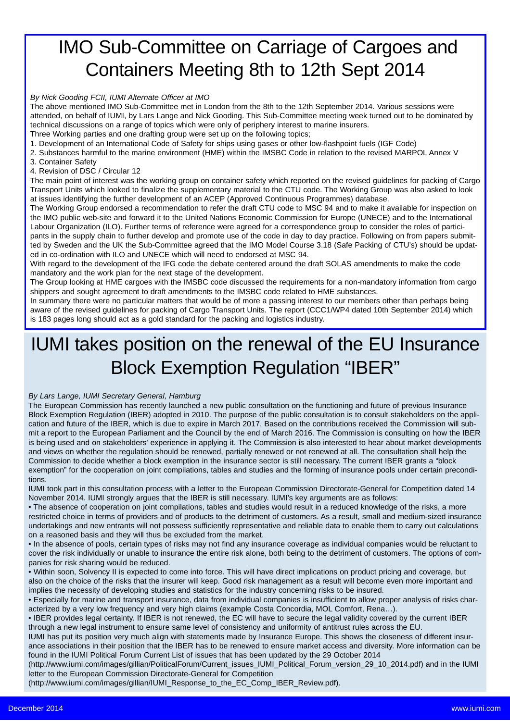## IMO Sub-Committee on Carriage of Cargoes and Containers Meeting 8th to 12th Sept 2014

### *By Nick Gooding FCII, IUMI Alternate Officer at IMO*

The above mentioned IMO Sub-Committee met in London from the 8th to the 12th September 2014. Various sessions were attended, on behalf of IUMI, by Lars Lange and Nick Gooding. This Sub-Committee meeting week turned out to be dominated by technical discussions on a range of topics which were only of periphery interest to marine insurers. Three Working parties and one drafting group were set up on the following topics;

1. Development of an International Code of Safety for ships using gases or other low-flashpoint fuels (IGF Code)

2. Substances harmful to the marine environment (HME) within the IMSBC Code in relation to the revised MARPOL Annex V

- 3. Container Safety
- 4. Revision of DSC / Circular 12

The main point of interest was the working group on container safety which reported on the revised guidelines for packing of Cargo Transport Units which looked to finalize the supplementary material to the CTU code. The Working Group was also asked to look at issues identifying the further development of an ACEP (Approved Continuous Programmes) database.

The Working Group endorsed a recommendation to refer the draft CTU code to MSC 94 and to make it available for inspection on the IMO public web-site and forward it to the United Nations Economic Commission for Europe (UNECE) and to the International Labour Organization (ILO). Further terms of reference were agreed for a correspondence group to consider the roles of participants in the supply chain to further develop and promote use of the code in day to day practice. Following on from papers submitted by Sweden and the UK the Sub-Committee agreed that the IMO Model Course 3.18 (Safe Packing of CTU's) should be updated in co-ordination with ILO and UNECE which will need to endorsed at MSC 94.

With regard to the development of the IFG code the debate centered around the draft SOLAS amendments to make the code mandatory and the work plan for the next stage of the development.

The Group looking at HME cargoes with the IMSBC code discussed the requirements for a non-mandatory information from cargo shippers and sought agreement to draft amendments to the IMSBC code related to HME substances.

In summary there were no particular matters that would be of more a passing interest to our members other than perhaps being aware of the revised guidelines for packing of Cargo Transport Units. The report (CCC1/WP4 dated 10th September 2014) which is 183 pages long should act as a gold standard for the packing and logistics industry.

## IUMI takes position on the renewal of the EU Insurance Block Exemption Regulation "IBER"

### *By Lars Lange, IUMI Secretary General, Hamburg*

The European Commission has recently launched a new public consultation on the functioning and future of previous Insurance Block Exemption Regulation (IBER) adopted in 2010. The purpose of the public consultation is to consult stakeholders on the application and future of the IBER, which is due to expire in March 2017. Based on the contributions received the Commission will submit a report to the European Parliament and the Council by the end of March 2016. The Commission is consulting on how the IBER is being used and on stakeholders' experience in applying it. The Commission is also interested to hear about market developments and views on whether the regulation should be renewed, partially renewed or not renewed at all. The consultation shall help the Commission to decide whether a block exemption in the insurance sector is still necessary. The current IBER grants a "block exemption" for the cooperation on joint compilations, tables and studies and the forming of insurance pools under certain preconditions.

IUMI took part in this consultation process with a letter to the European Commission Directorate-General for Competition dated 14 November 2014. IUMI strongly argues that the IBER is still necessary. IUMI's key arguments are as follows:

• The absence of cooperation on joint compilations, tables and studies would result in a reduced knowledge of the risks, a more restricted choice in terms of providers and of products to the detriment of customers. As a result, small and medium-sized insurance undertakings and new entrants will not possess sufficiently representative and reliable data to enable them to carry out calculations on a reasoned basis and they will thus be excluded from the market.

• In the absence of pools, certain types of risks may not find any insurance coverage as individual companies would be reluctant to cover the risk individually or unable to insurance the entire risk alone, both being to the detriment of customers. The options of companies for risk sharing would be reduced.

• Within soon, Solvency II is expected to come into force. This will have direct implications on product pricing and coverage, but also on the choice of the risks that the insurer will keep. Good risk management as a result will become even more important and implies the necessity of developing studies and statistics for the industry concerning risks to be insured.

• Especially for marine and transport insurance, data from individual companies is insufficient to allow proper analysis of risks characterized by a very low frequency and very high claims (example Costa Concordia, MOL Comfort, Rena…).

• IBER provides legal certainty. If IBER is not renewed, the EC will have to secure the legal validity covered by the current IBER through a new legal instrument to ensure same level of consistency and uniformity of antitrust rules across the EU.

IUMI has put its position very much align with statements made by Insurance Europe. This shows the closeness of different insurance associations in their position that the IBER has to be renewed to ensure market access and diversity. More information can be found in the IUMI Political Forum Current List of issues that has been updated by the 29 October 2014

(http://www.iumi.com/images/gillian/PoliticalForum/Current\_issues\_IUMI\_Political\_Forum\_version\_29\_10\_2014.pdf) and in the IUMI letter to the European Commission Directorate-General for Competition

(http://www.iumi.com/images/gillian/IUMI\_Response\_to\_the\_EC\_Comp\_IBER\_Review.pdf).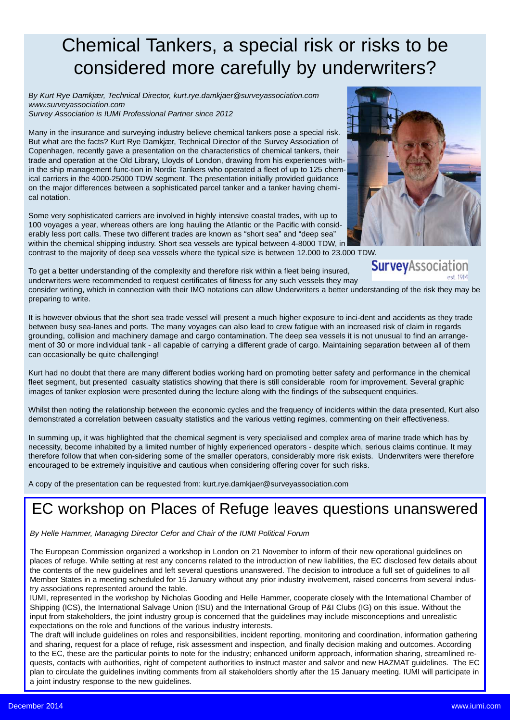## Chemical Tankers, a special risk or risks to be considered more carefully by underwriters?

*By Kurt Rye Damkjær, Technical Director, kurt.rye.damkjaer@surveyassociation.com www.surveyassociation.com Survey Association is IUMI Professional Partner since 2012*

Many in the insurance and surveying industry believe chemical tankers pose a special risk. But what are the facts? Kurt Rye Damkjær, Technical Director of the Survey Association of Copenhagen, recently gave a presentation on the characteristics of chemical tankers, their trade and operation at the Old Library, Lloyds of London, drawing from his experiences within the ship management func-tion in Nordic Tankers who operated a fleet of up to 125 chemical carriers in the 4000-25000 TDW segment. The presentation initially provided guidance on the major differences between a sophisticated parcel tanker and a tanker having chemical notation.

Some very sophisticated carriers are involved in highly intensive coastal trades, with up to 100 voyages a year, whereas others are long hauling the Atlantic or the Pacific with considerably less port calls. These two different trades are known as "short sea" and "deep sea" within the chemical shipping industry. Short sea vessels are typical between 4-8000 TDW, in

contrast to the majority of deep sea vessels where the typical size is between 12.000 to 23.000 TDW.

SurveyAssociation To get a better understanding of the complexity and therefore risk within a fleet being insured, underwriters were recommended to request certificates of fitness for any such vessels they may consider writing, which in connection with their IMO notations can allow Underwriters a better understanding of the risk they may be preparing to write.

It is however obvious that the short sea trade vessel will present a much higher exposure to inci-dent and accidents as they trade between busy sea-lanes and ports. The many voyages can also lead to crew fatigue with an increased risk of claim in regards grounding, collision and machinery damage and cargo contamination. The deep sea vessels it is not unusual to find an arrangement of 30 or more individual tank - all capable of carrying a different grade of cargo. Maintaining separation between all of them can occasionally be quite challenging!

Kurt had no doubt that there are many different bodies working hard on promoting better safety and performance in the chemical fleet segment, but presented casualty statistics showing that there is still considerable room for improvement. Several graphic images of tanker explosion were presented during the lecture along with the findings of the subsequent enquiries.

Whilst then noting the relationship between the economic cycles and the frequency of incidents within the data presented, Kurt also demonstrated a correlation between casualty statistics and the various vetting regimes, commenting on their effectiveness.

In summing up, it was highlighted that the chemical segment is very specialised and complex area of marine trade which has by necessity, become inhabited by a limited number of highly experienced operators - despite which, serious claims continue. It may therefore follow that when con-sidering some of the smaller operators, considerably more risk exists. Underwriters were therefore encouraged to be extremely inquisitive and cautious when considering offering cover for such risks.

A copy of the presentation can be requested from: kurt.rye.damkjaer@surveyassociation.com

### EC workshop on Places of Refuge leaves questions unanswered

#### *By Helle Hammer, Managing Director Cefor and Chair of the IUMI Political Forum*

The European Commission organized a workshop in London on 21 November to inform of their new operational guidelines on places of refuge. While setting at rest any concerns related to the introduction of new liabilities, the EC disclosed few details about the contents of the new guidelines and left several questions unanswered. The decision to introduce a full set of guidelines to all Member States in a meeting scheduled for 15 January without any prior industry involvement, raised concerns from several industry associations represented around the table.

IUMI, represented in the workshop by Nicholas Gooding and Helle Hammer, cooperate closely with the International Chamber of Shipping (ICS), the International Salvage Union (ISU) and the International Group of P&I Clubs (IG) on this issue. Without the input from stakeholders, the joint industry group is concerned that the guidelines may include misconceptions and unrealistic expectations on the role and functions of the various industry interests.

The draft will include guidelines on roles and responsibilities, incident reporting, monitoring and coordination, information gathering and sharing, request for a place of refuge, risk assessment and inspection, and finally decision making and outcomes. According to the EC, these are the particular points to note for the industry; enhanced uniform approach, information sharing, streamlined requests, contacts with authorities, right of competent authorities to instruct master and salvor and new HAZMAT guidelines. The EC plan to circulate the guidelines inviting comments from all stakeholders shortly after the 15 January meeting. IUMI will participate in a joint industry response to the new guidelines.

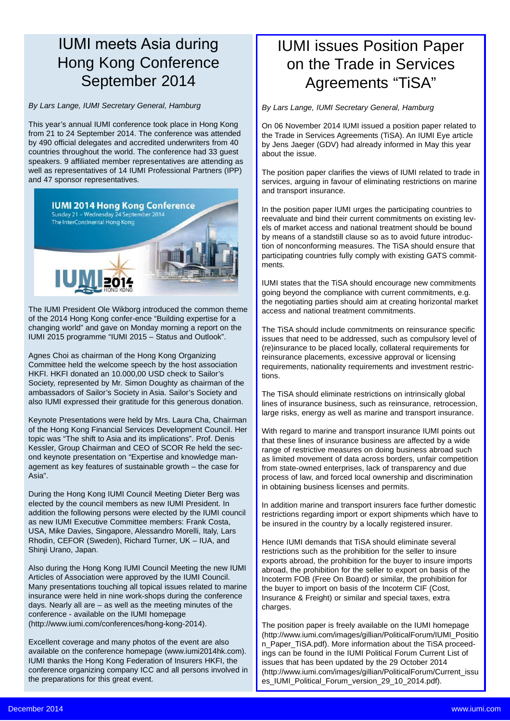### IUMI meets Asia during Hong Kong Conference September 2014

*By Lars Lange, IUMI Secretary General, Hamburg*

This year's annual IUMI conference took place in Hong Kong from 21 to 24 September 2014. The conference was attended by 490 official delegates and accredited underwriters from 40 countries throughout the world. The conference had 33 guest speakers. 9 affiliated member representatives are attending as well as representatives of 14 IUMI Professional Partners (IPP) and 47 sponsor representatives.



The IUMI President Ole Wikborg introduced the common theme of the 2014 Hong Kong confer-ence "Building expertise for a changing world" and gave on Monday morning a report on the IUMI 2015 programme "IUMI 2015 – Status and Outlook".

Agnes Choi as chairman of the Hong Kong Organizing Committee held the welcome speech by the host association HKFI. HKFI donated an 10.000,00 USD check to Sailor's Society, represented by Mr. Simon Doughty as chairman of the ambassadors of Sailor's Society in Asia. Sailor's Society and also IUMI expressed their gratitude for this generous donation.

Keynote Presentations were held by Mrs. Laura Cha, Chairman of the Hong Kong Financial Services Development Council. Her topic was "The shift to Asia and its implications". Prof. Denis Kessler, Group Chairman and CEO of SCOR Re held the second keynote presentation on "Expertise and knowledge management as key features of sustainable growth – the case for Asia".

During the Hong Kong IUMI Council Meeting Dieter Berg was elected by the council members as new IUMI President. In addition the following persons were elected by the IUMI council as new IUMI Executive Committee members: Frank Costa, USA, Mike Davies, Singapore, Alessandro Morelli, Italy, Lars Rhodin, CEFOR (Sweden), Richard Turner, UK – IUA, and Shinji Urano, Japan.

Also during the Hong Kong IUMI Council Meeting the new IUMI Articles of Association were approved by the IUMI Council. Many presentations touching all topical issues related to marine insurance were held in nine work-shops during the conference days. Nearly all are – as well as the meeting minutes of the conference - available on the IUMI homepage (http://www.iumi.com/conferences/hong-kong-2014).

Excellent coverage and many photos of the event are also available on the conference homepage (www.iumi2014hk.com). IUMI thanks the Hong Kong Federation of Insurers HKFI, the conference organizing company ICC and all persons involved in the preparations for this great event.

### IUMI issues Position Paper on the Trade in Services Agreements "TiSA"

*By Lars Lange, IUMI Secretary General, Hamburg*

On 06 November 2014 IUMI issued a position paper related to the Trade in Services Agreements (TiSA). An IUMI Eye article by Jens Jaeger (GDV) had already informed in May this year about the issue.

The position paper clarifies the views of IUMI related to trade in services, arguing in favour of eliminating restrictions on marine and transport insurance.

In the position paper IUMI urges the participating countries to reevaluate and bind their current commitments on existing levels of market access and national treatment should be bound by means of a standstill clause so as to avoid future introduction of nonconforming measures. The TiSA should ensure that participating countries fully comply with existing GATS commitments.

IUMI states that the TiSA should encourage new commitments going beyond the compliance with current commitments, e.g. the negotiating parties should aim at creating horizontal market access and national treatment commitments.

The TiSA should include commitments on reinsurance specific issues that need to be addressed, such as compulsory level of (re)insurance to be placed locally, collateral requirements for reinsurance placements, excessive approval or licensing requirements, nationality requirements and investment restrictions.

The TiSA should eliminate restrictions on intrinsically global lines of insurance business, such as reinsurance, retrocession, large risks, energy as well as marine and transport insurance.

With regard to marine and transport insurance IUMI points out that these lines of insurance business are affected by a wide range of restrictive measures on doing business abroad such as limited movement of data across borders, unfair competition from state-owned enterprises, lack of transparency and due process of law, and forced local ownership and discrimination in obtaining business licenses and permits.

In addition marine and transport insurers face further domestic restrictions regarding import or export shipments which have to be insured in the country by a locally registered insurer.

Hence IUMI demands that TiSA should eliminate several restrictions such as the prohibition for the seller to insure exports abroad, the prohibition for the buyer to insure imports abroad, the prohibition for the seller to export on basis of the Incoterm FOB (Free On Board) or similar, the prohibition for the buyer to import on basis of the Incoterm CIF (Cost, Insurance & Freight) or similar and special taxes, extra charges.

The position paper is freely available on the IUMI homepage (http://www.iumi.com/images/gillian/PoliticalForum/IUMI\_Positio n\_Paper\_TiSA.pdf). More information about the TiSA proceedings can be found in the IUMI Political Forum Current List of issues that has been updated by the 29 October 2014 (http://www.iumi.com/images/gillian/PoliticalForum/Current\_issu es\_IUMI\_Political\_Forum\_version\_29\_10\_2014.pdf).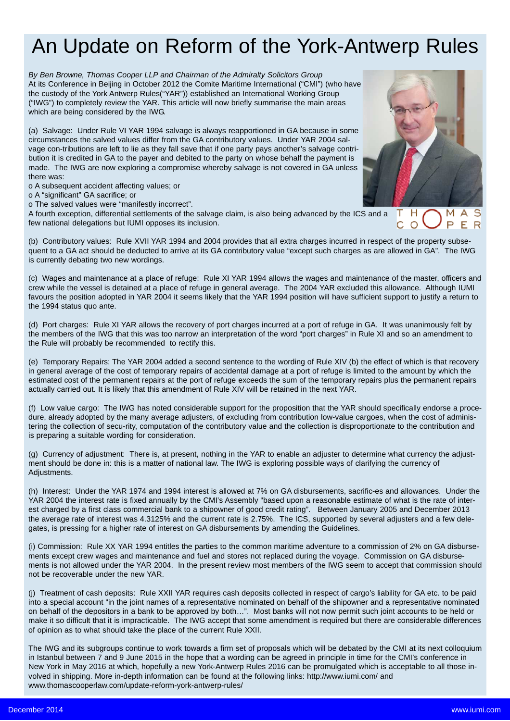# An Update on Reform of the York-Antwerp Rules

*By Ben Browne, Thomas Cooper LLP and Chairman of the Admiralty Solicitors Group* At its Conference in Beijing in October 2012 the Comite Maritime International ("CMI") (who have the custody of the York Antwerp Rules("YAR")) established an International Working Group ("IWG") to completely review the YAR. This article will now briefly summarise the main areas which are being considered by the IWG.

(a) Salvage: Under Rule VI YAR 1994 salvage is always reapportioned in GA because in some circumstances the salved values differ from the GA contributory values. Under YAR 2004 salvage con-tributions are left to lie as they fall save that if one party pays another's salvage contribution it is credited in GA to the payer and debited to the party on whose behalf the payment is made. The IWG are now exploring a compromise whereby salvage is not covered in GA unless there was:

o A subsequent accident affecting values; or

o A "significant" GA sacrifice; or

o The salved values were "manifestly incorrect".

A fourth exception, differential settlements of the salvage claim, is also being advanced by the ICS and a  $\top$ few national delegations but IUMI opposes its inclusion.



Η

C.  $\Omega$  М P

F<sub>R</sub>

(b) Contributory values: Rule XVII YAR 1994 and 2004 provides that all extra charges incurred in respect of the property subsequent to a GA act should be deducted to arrive at its GA contributory value "except such charges as are allowed in GA". The IWG is currently debating two new wordings.

(c) Wages and maintenance at a place of refuge: Rule XI YAR 1994 allows the wages and maintenance of the master, officers and crew while the vessel is detained at a place of refuge in general average. The 2004 YAR excluded this allowance. Although IUMI favours the position adopted in YAR 2004 it seems likely that the YAR 1994 position will have sufficient support to justify a return to the 1994 status quo ante.

(d) Port charges: Rule XI YAR allows the recovery of port charges incurred at a port of refuge in GA. It was unanimously felt by the members of the IWG that this was too narrow an interpretation of the word "port charges" in Rule XI and so an amendment to the Rule will probably be recommended to rectify this.

(e) Temporary Repairs: The YAR 2004 added a second sentence to the wording of Rule XIV (b) the effect of which is that recovery in general average of the cost of temporary repairs of accidental damage at a port of refuge is limited to the amount by which the estimated cost of the permanent repairs at the port of refuge exceeds the sum of the temporary repairs plus the permanent repairs actually carried out. It is likely that this amendment of Rule XIV will be retained in the next YAR.

(f) Low value cargo: The IWG has noted considerable support for the proposition that the YAR should specifically endorse a procedure, already adopted by the many average adjusters, of excluding from contribution low-value cargoes, when the cost of administering the collection of secu-rity, computation of the contributory value and the collection is disproportionate to the contribution and is preparing a suitable wording for consideration.

(g) Currency of adjustment: There is, at present, nothing in the YAR to enable an adjuster to determine what currency the adjustment should be done in: this is a matter of national law. The IWG is exploring possible ways of clarifying the currency of Adjustments.

(h) Interest: Under the YAR 1974 and 1994 interest is allowed at 7% on GA disbursements, sacrific-es and allowances. Under the YAR 2004 the interest rate is fixed annually by the CMI's Assembly "based upon a reasonable estimate of what is the rate of interest charged by a first class commercial bank to a shipowner of good credit rating". Between January 2005 and December 2013 the average rate of interest was 4.3125% and the current rate is 2.75%. The ICS, supported by several adjusters and a few delegates, is pressing for a higher rate of interest on GA disbursements by amending the Guidelines.

(i) Commission: Rule XX YAR 1994 entitles the parties to the common maritime adventure to a commission of 2% on GA disbursements except crew wages and maintenance and fuel and stores not replaced during the voyage. Commission on GA disbursements is not allowed under the YAR 2004. In the present review most members of the IWG seem to accept that commission should not be recoverable under the new YAR.

(j) Treatment of cash deposits: Rule XXII YAR requires cash deposits collected in respect of cargo's liability for GA etc. to be paid into a special account "in the joint names of a representative nominated on behalf of the shipowner and a representative nominated on behalf of the depositors in a bank to be approved by both…". Most banks will not now permit such joint accounts to be held or make it so difficult that it is impracticable. The IWG accept that some amendment is required but there are considerable differences of opinion as to what should take the place of the current Rule XXII.

The IWG and its subgroups continue to work towards a firm set of proposals which will be debated by the CMI at its next colloquium in Istanbul between 7 and 9 June 2015 in the hope that a wording can be agreed in principle in time for the CMI's conference in New York in May 2016 at which, hopefully a new York-Antwerp Rules 2016 can be promulgated which is acceptable to all those involved in shipping. More in-depth information can be found at the following links: http://www.iumi.com/ and www.thomascooperlaw.com/update-reform-york-antwerp-rules/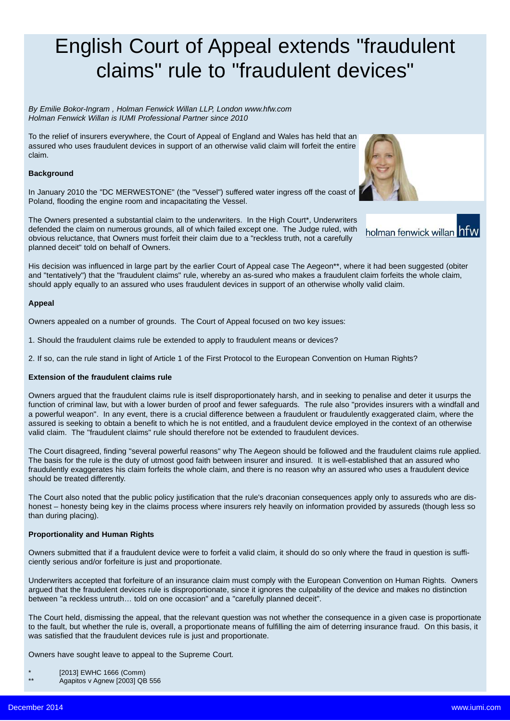# English Court of Appeal extends "fraudulent claims" rule to "fraudulent devices"

*By Emilie Bokor-Ingram , Holman Fenwick Willan LLP, London www.hfw.com Holman Fenwick Willan is IUMI Professional Partner since 2010*

To the relief of insurers everywhere, the Court of Appeal of England and Wales has held that an assured who uses fraudulent devices in support of an otherwise valid claim will forfeit the entire claim.

#### **Background**

In January 2010 the "DC MERWESTONE" (the "Vessel") suffered water ingress off the coast of Poland, flooding the engine room and incapacitating the Vessel.

The Owners presented a substantial claim to the underwriters. In the High Court\*, Underwriters defended the claim on numerous grounds, all of which failed except one. The Judge ruled, with holman fenwick willan him obvious reluctance, that Owners must forfeit their claim due to a "reckless truth, not a carefully planned deceit" told on behalf of Owners.

His decision was influenced in large part by the earlier Court of Appeal case The Aegeon\*\*, where it had been suggested (obiter and "tentatively") that the "fraudulent claims" rule, whereby an as-sured who makes a fraudulent claim forfeits the whole claim, should apply equally to an assured who uses fraudulent devices in support of an otherwise wholly valid claim.

#### **Appeal**

Owners appealed on a number of grounds. The Court of Appeal focused on two key issues:

- 1. Should the fraudulent claims rule be extended to apply to fraudulent means or devices?
- 2. If so, can the rule stand in light of Article 1 of the First Protocol to the European Convention on Human Rights?

#### **Extension of the fraudulent claims rule**

Owners argued that the fraudulent claims rule is itself disproportionately harsh, and in seeking to penalise and deter it usurps the function of criminal law, but with a lower burden of proof and fewer safeguards. The rule also "provides insurers with a windfall and a powerful weapon". In any event, there is a crucial difference between a fraudulent or fraudulently exaggerated claim, where the assured is seeking to obtain a benefit to which he is not entitled, and a fraudulent device employed in the context of an otherwise valid claim. The "fraudulent claims" rule should therefore not be extended to fraudulent devices.

The Court disagreed, finding "several powerful reasons" why The Aegeon should be followed and the fraudulent claims rule applied. The basis for the rule is the duty of utmost good faith between insurer and insured. It is well-established that an assured who fraudulently exaggerates his claim forfeits the whole claim, and there is no reason why an assured who uses a fraudulent device should be treated differently.

The Court also noted that the public policy justification that the rule's draconian consequences apply only to assureds who are dishonest – honesty being key in the claims process where insurers rely heavily on information provided by assureds (though less so than during placing).

#### **Proportionality and Human Rights**

Owners submitted that if a fraudulent device were to forfeit a valid claim, it should do so only where the fraud in question is sufficiently serious and/or forfeiture is just and proportionate.

Underwriters accepted that forfeiture of an insurance claim must comply with the European Convention on Human Rights. Owners argued that the fraudulent devices rule is disproportionate, since it ignores the culpability of the device and makes no distinction between "a reckless untruth… told on one occasion" and a "carefully planned deceit".

The Court held, dismissing the appeal, that the relevant question was not whether the consequence in a given case is proportionate to the fault, but whether the rule is, overall, a proportionate means of fulfilling the aim of deterring insurance fraud. On this basis, it was satisfied that the fraudulent devices rule is just and proportionate.

Owners have sought leave to appeal to the Supreme Court.

- \*  $[2013]$  EWHC 1666 (Comm)
- Agapitos v Agnew [2003] QB 556